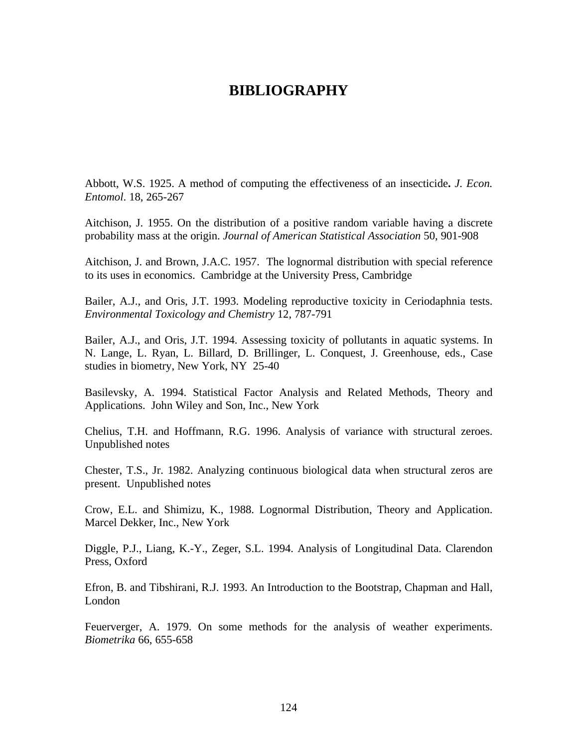## **BIBLIOGRAPHY**

Abbott, W.S. 1925. A method of computing the effectiveness of an insecticide**.** *J. Econ. Entomol*. 18, 265-267

Aitchison, J. 1955. On the distribution of a positive random variable having a discrete probability mass at the origin. *Journal of American Statistical Association* 50, 901-908

Aitchison, J. and Brown, J.A.C. 1957. The lognormal distribution with special reference to its uses in economics. Cambridge at the University Press, Cambridge

Bailer, A.J., and Oris, J.T. 1993. Modeling reproductive toxicity in Ceriodaphnia tests. *Environmental Toxicology and Chemistry* 12, 787-791

Bailer, A.J., and Oris, J.T. 1994. Assessing toxicity of pollutants in aquatic systems. In N. Lange, L. Ryan, L. Billard, D. Brillinger, L. Conquest, J. Greenhouse, eds., Case studies in biometry, New York, NY 25-40

Basilevsky, A. 1994. Statistical Factor Analysis and Related Methods, Theory and Applications. John Wiley and Son, Inc., New York

Chelius, T.H. and Hoffmann, R.G. 1996. Analysis of variance with structural zeroes. Unpublished notes

Chester, T.S., Jr. 1982. Analyzing continuous biological data when structural zeros are present. Unpublished notes

Crow, E.L. and Shimizu, K., 1988. Lognormal Distribution, Theory and Application. Marcel Dekker, Inc., New York

Diggle, P.J., Liang, K.-Y., Zeger, S.L. 1994. Analysis of Longitudinal Data. Clarendon Press, Oxford

Efron, B. and Tibshirani, R.J. 1993. An Introduction to the Bootstrap, Chapman and Hall, London

Feuerverger, A. 1979. On some methods for the analysis of weather experiments. *Biometrika* 66, 655-658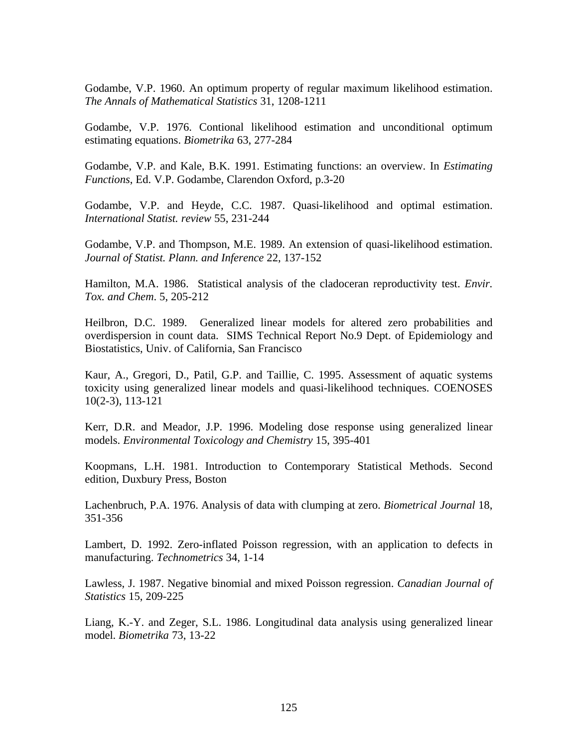Godambe, V.P. 1960. An optimum property of regular maximum likelihood estimation. *The Annals of Mathematical Statistics* 31, 1208-1211

Godambe, V.P. 1976. Contional likelihood estimation and unconditional optimum estimating equations. *Biometrika* 63, 277-284

Godambe, V.P. and Kale, B.K. 1991. Estimating functions: an overview. In *Estimating Functions*, Ed. V.P. Godambe, Clarendon Oxford, p.3-20

Godambe, V.P. and Heyde, C.C. 1987. Quasi-likelihood and optimal estimation. *International Statist. review* 55, 231-244

Godambe, V.P. and Thompson, M.E. 1989. An extension of quasi-likelihood estimation. *Journal of Statist. Plann. and Inference* 22, 137-152

Hamilton, M.A. 1986. Statistical analysis of the cladoceran reproductivity test. *Envir. Tox. and Chem*. 5, 205-212

Heilbron, D.C. 1989. Generalized linear models for altered zero probabilities and overdispersion in count data. SIMS Technical Report No.9 Dept. of Epidemiology and Biostatistics, Univ. of California, San Francisco

Kaur, A., Gregori, D., Patil, G.P. and Taillie, C. 1995. Assessment of aquatic systems toxicity using generalized linear models and quasi-likelihood techniques. COENOSES 10(2-3), 113-121

Kerr, D.R. and Meador, J.P. 1996. Modeling dose response using generalized linear models. *Environmental Toxicology and Chemistry* 15, 395-401

Koopmans, L.H. 1981. Introduction to Contemporary Statistical Methods. Second edition, Duxbury Press, Boston

Lachenbruch, P.A. 1976. Analysis of data with clumping at zero. *Biometrical Journal* 18, 351-356

Lambert, D. 1992. Zero-inflated Poisson regression, with an application to defects in manufacturing. *Technometrics* 34, 1-14

Lawless, J. 1987. Negative binomial and mixed Poisson regression. *Canadian Journal of Statistics* 15, 209-225

Liang, K.-Y. and Zeger, S.L. 1986. Longitudinal data analysis using generalized linear model. *Biometrika* 73, 13-22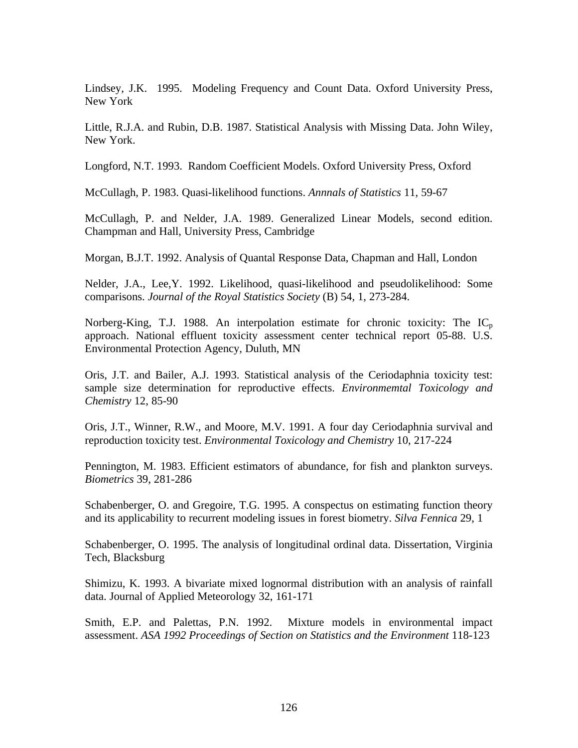Lindsey, J.K. 1995. Modeling Frequency and Count Data. Oxford University Press, New York

Little, R.J.A. and Rubin, D.B. 1987. Statistical Analysis with Missing Data. John Wiley, New York.

Longford, N.T. 1993. Random Coefficient Models. Oxford University Press, Oxford

McCullagh, P. 1983. Quasi-likelihood functions. *Annnals of Statistics* 11, 59-67

McCullagh, P. and Nelder, J.A. 1989. Generalized Linear Models, second edition. Champman and Hall, University Press, Cambridge

Morgan, B.J.T. 1992. Analysis of Quantal Response Data, Chapman and Hall, London

Nelder, J.A., Lee,Y. 1992. Likelihood, quasi-likelihood and pseudolikelihood: Some comparisons. *Journal of the Royal Statistics Society* (B) 54, 1, 273-284.

Norberg-King, T.J. 1988. An interpolation estimate for chronic toxicity: The  $IC_p$ approach. National effluent toxicity assessment center technical report 05-88. U.S. Environmental Protection Agency, Duluth, MN

Oris, J.T. and Bailer, A.J. 1993. Statistical analysis of the Ceriodaphnia toxicity test: sample size determination for reproductive effects. *Environmemtal Toxicology and Chemistry* 12, 85-90

Oris, J.T., Winner, R.W., and Moore, M.V. 1991. A four day Ceriodaphnia survival and reproduction toxicity test. *Environmental Toxicology and Chemistry* 10, 217-224

Pennington, M. 1983. Efficient estimators of abundance, for fish and plankton surveys. *Biometrics* 39, 281-286

Schabenberger, O. and Gregoire, T.G. 1995. A conspectus on estimating function theory and its applicability to recurrent modeling issues in forest biometry. *Silva Fennica* 29, 1

Schabenberger, O. 1995. The analysis of longitudinal ordinal data. Dissertation, Virginia Tech, Blacksburg

Shimizu, K. 1993. A bivariate mixed lognormal distribution with an analysis of rainfall data. Journal of Applied Meteorology 32, 161-171

Smith, E.P. and Palettas, P.N. 1992. Mixture models in environmental impact assessment. *ASA 1992 Proceedings of Section on Statistics and the Environment* 118-123